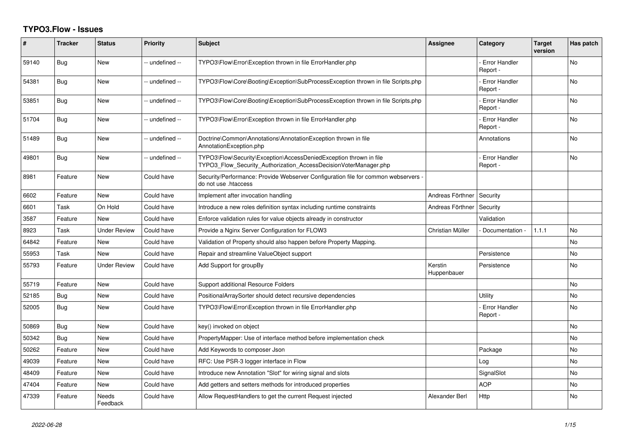## **TYPO3.Flow - Issues**

| #     | <b>Tracker</b> | <b>Status</b>       | <b>Priority</b> | <b>Subject</b>                                                                                                                         | <b>Assignee</b>        | Category                         | <b>Target</b><br>version | Has patch      |
|-------|----------------|---------------------|-----------------|----------------------------------------------------------------------------------------------------------------------------------------|------------------------|----------------------------------|--------------------------|----------------|
| 59140 | Bug            | <b>New</b>          | -- undefined -- | TYPO3\Flow\Error\Exception thrown in file ErrorHandler.php                                                                             |                        | <b>Error Handler</b><br>Report - |                          | N <sub>o</sub> |
| 54381 | Bug            | New                 | -- undefined -- | TYPO3\Flow\Core\Booting\Exception\SubProcessException thrown in file Scripts.php                                                       |                        | <b>Error Handler</b><br>Report - |                          | No             |
| 53851 | Bug            | <b>New</b>          | -- undefined -- | TYPO3\Flow\Core\Booting\Exception\SubProcessException thrown in file Scripts.php                                                       |                        | <b>Error Handler</b><br>Report - |                          | <b>No</b>      |
| 51704 | Bug            | <b>New</b>          | -- undefined -- | TYPO3\Flow\Error\Exception thrown in file ErrorHandler.php                                                                             |                        | <b>Error Handler</b><br>Report - |                          | No             |
| 51489 | Bug            | New                 | -- undefined -- | Doctrine\Common\Annotations\AnnotationException thrown in file<br>AnnotationException.php                                              |                        | Annotations                      |                          | No             |
| 49801 | <b>Bug</b>     | New                 | -- undefined -- | TYPO3\Flow\Security\Exception\AccessDeniedException thrown in file<br>TYPO3 Flow Security Authorization AccessDecisionVoterManager.php |                        | <b>Error Handler</b><br>Report - |                          | N <sub>o</sub> |
| 8981  | Feature        | New                 | Could have      | Security/Performance: Provide Webserver Configuration file for common webservers -<br>do not use .htaccess                             |                        |                                  |                          |                |
| 6602  | Feature        | <b>New</b>          | Could have      | Implement after invocation handling                                                                                                    | Andreas Förthner       | Security                         |                          |                |
| 6601  | Task           | On Hold             | Could have      | Introduce a new roles definition syntax including runtime constraints                                                                  | Andreas Förthner       | Security                         |                          |                |
| 3587  | Feature        | <b>New</b>          | Could have      | Enforce validation rules for value objects already in constructor                                                                      |                        | Validation                       |                          |                |
| 8923  | Task           | <b>Under Review</b> | Could have      | Provide a Nginx Server Configuration for FLOW3                                                                                         | Christian Müller       | Documentation -                  | 1.1.1                    | <b>No</b>      |
| 64842 | Feature        | New                 | Could have      | Validation of Property should also happen before Property Mapping.                                                                     |                        |                                  |                          | <b>No</b>      |
| 55953 | Task           | <b>New</b>          | Could have      | Repair and streamline ValueObject support                                                                                              |                        | Persistence                      |                          | No             |
| 55793 | Feature        | <b>Under Review</b> | Could have      | Add Support for groupBy                                                                                                                | Kerstin<br>Huppenbauer | Persistence                      |                          | No             |
| 55719 | Feature        | <b>New</b>          | Could have      | Support additional Resource Folders                                                                                                    |                        |                                  |                          | No             |
| 52185 | Bug            | New                 | Could have      | PositionalArraySorter should detect recursive dependencies                                                                             |                        | Utility                          |                          | No             |
| 52005 | Bug            | <b>New</b>          | Could have      | TYPO3\Flow\Error\Exception thrown in file ErrorHandler.php                                                                             |                        | <b>Error Handler</b><br>Report - |                          | No             |
| 50869 | <b>Bug</b>     | <b>New</b>          | Could have      | key() invoked on object                                                                                                                |                        |                                  |                          | No             |
| 50342 | Bug            | <b>New</b>          | Could have      | PropertyMapper: Use of interface method before implementation check                                                                    |                        |                                  |                          | No             |
| 50262 | Feature        | <b>New</b>          | Could have      | Add Keywords to composer Json                                                                                                          |                        | Package                          |                          | <b>No</b>      |
| 49039 | Feature        | <b>New</b>          | Could have      | RFC: Use PSR-3 logger interface in Flow                                                                                                |                        | Log                              |                          | No             |
| 48409 | Feature        | New                 | Could have      | Introduce new Annotation "Slot" for wiring signal and slots                                                                            |                        | SignalSlot                       |                          | No             |
| 47404 | Feature        | New                 | Could have      | Add getters and setters methods for introduced properties                                                                              |                        | <b>AOP</b>                       |                          | No             |
| 47339 | Feature        | Needs<br>Feedback   | Could have      | Allow RequestHandlers to get the current Request injected                                                                              | Alexander Berl         | Http                             |                          | <b>No</b>      |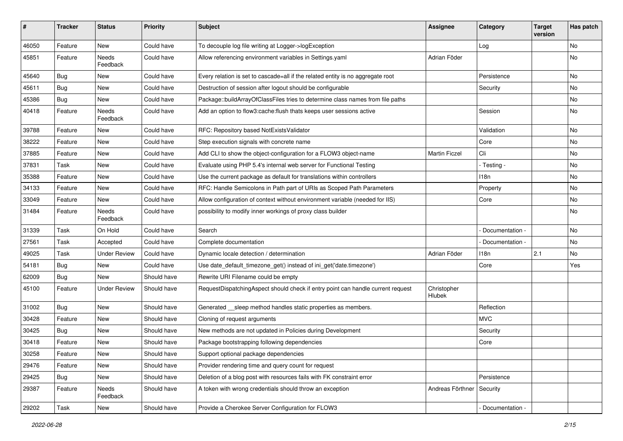| #     | <b>Tracker</b> | <b>Status</b>       | <b>Priority</b> | <b>Subject</b>                                                                  | <b>Assignee</b>             | Category          | <b>Target</b><br>version | Has patch |
|-------|----------------|---------------------|-----------------|---------------------------------------------------------------------------------|-----------------------------|-------------------|--------------------------|-----------|
| 46050 | Feature        | New                 | Could have      | To decouple log file writing at Logger->logException                            |                             | Log               |                          | No        |
| 45851 | Feature        | Needs<br>Feedback   | Could have      | Allow referencing environment variables in Settings.yaml                        | Adrian Föder                |                   |                          | No        |
| 45640 | Bug            | New                 | Could have      | Every relation is set to cascade=all if the related entity is no aggregate root |                             | Persistence       |                          | <b>No</b> |
| 45611 | Bug            | New                 | Could have      | Destruction of session after logout should be configurable                      |                             | Security          |                          | No        |
| 45386 | <b>Bug</b>     | New                 | Could have      | Package::buildArrayOfClassFiles tries to determine class names from file paths  |                             |                   |                          | <b>No</b> |
| 40418 | Feature        | Needs<br>Feedback   | Could have      | Add an option to flow3:cache: flush thats keeps user sessions active            |                             | Session           |                          | No        |
| 39788 | Feature        | New                 | Could have      | RFC: Repository based NotExistsValidator                                        |                             | Validation        |                          | No        |
| 38222 | Feature        | New                 | Could have      | Step execution signals with concrete name                                       |                             | Core              |                          | No        |
| 37885 | Feature        | New                 | Could have      | Add CLI to show the object-configuration for a FLOW3 object-name                | <b>Martin Ficzel</b>        | Cli               |                          | No        |
| 37831 | Task           | New                 | Could have      | Evaluate using PHP 5.4's internal web server for Functional Testing             |                             | - Testing -       |                          | No        |
| 35388 | Feature        | New                 | Could have      | Use the current package as default for translations within controllers          |                             | 118n              |                          | No        |
| 34133 | Feature        | New                 | Could have      | RFC: Handle Semicolons in Path part of URIs as Scoped Path Parameters           |                             | Property          |                          | <b>No</b> |
| 33049 | Feature        | New                 | Could have      | Allow configuration of context without environment variable (needed for IIS)    |                             | Core              |                          | No        |
| 31484 | Feature        | Needs<br>Feedback   | Could have      | possibility to modify inner workings of proxy class builder                     |                             |                   |                          | No        |
| 31339 | Task           | On Hold             | Could have      | Search                                                                          |                             | Documentation -   |                          | <b>No</b> |
| 27561 | Task           | Accepted            | Could have      | Complete documentation                                                          |                             | - Documentation - |                          | No        |
| 49025 | Task           | <b>Under Review</b> | Could have      | Dynamic locale detection / determination                                        | Adrian Föder                | 118n              | 2.1                      | No        |
| 54181 | <b>Bug</b>     | New                 | Could have      | Use date_default_timezone_get() instead of ini_get('date.timezone')             |                             | Core              |                          | Yes       |
| 62009 | Bug            | New                 | Should have     | Rewrite URI Filename could be empty                                             |                             |                   |                          |           |
| 45100 | Feature        | <b>Under Review</b> | Should have     | RequestDispatchingAspect should check if entry point can handle current request | Christopher<br>Hlubek       |                   |                          |           |
| 31002 | Bug            | New                 | Should have     | Generated __sleep method handles static properties as members.                  |                             | Reflection        |                          |           |
| 30428 | Feature        | New                 | Should have     | Cloning of request arguments                                                    |                             | <b>MVC</b>        |                          |           |
| 30425 | <b>Bug</b>     | New                 | Should have     | New methods are not updated in Policies during Development                      |                             | Security          |                          |           |
| 30418 | Feature        | New                 | Should have     | Package bootstrapping following dependencies                                    |                             | Core              |                          |           |
| 30258 | Feature        | New                 | Should have     | Support optional package dependencies                                           |                             |                   |                          |           |
| 29476 | Feature        | New                 | Should have     | Provider rendering time and query count for request                             |                             |                   |                          |           |
| 29425 | Bug            | New                 | Should have     | Deletion of a blog post with resources fails with FK constraint error           |                             | Persistence       |                          |           |
| 29387 | Feature        | Needs<br>Feedback   | Should have     | A token with wrong credentials should throw an exception                        | Andreas Förthner   Security |                   |                          |           |
| 29202 | Task           | New                 | Should have     | Provide a Cherokee Server Configuration for FLOW3                               |                             | Documentation -   |                          |           |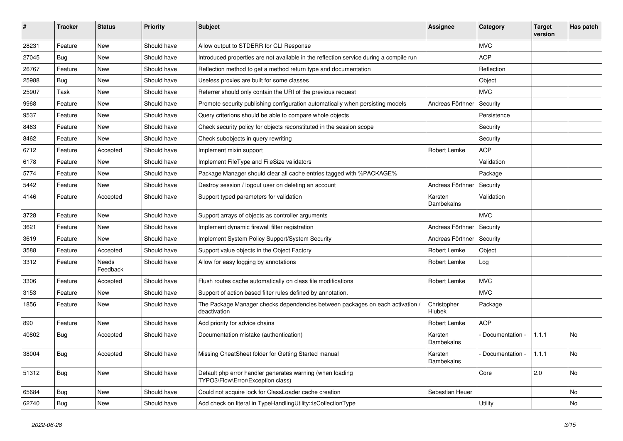| #     | <b>Tracker</b> | <b>Status</b>     | <b>Priority</b> | <b>Subject</b>                                                                                 | <b>Assignee</b>       | Category                   | <b>Target</b><br>version | Has patch |
|-------|----------------|-------------------|-----------------|------------------------------------------------------------------------------------------------|-----------------------|----------------------------|--------------------------|-----------|
| 28231 | Feature        | <b>New</b>        | Should have     | Allow output to STDERR for CLI Response                                                        |                       | <b>MVC</b>                 |                          |           |
| 27045 | <b>Bug</b>     | New               | Should have     | Introduced properties are not available in the reflection service during a compile run         |                       | <b>AOP</b>                 |                          |           |
| 26767 | Feature        | <b>New</b>        | Should have     | Reflection method to get a method return type and documentation                                |                       | Reflection                 |                          |           |
| 25988 | Bug            | <b>New</b>        | Should have     | Useless proxies are built for some classes                                                     |                       | Object                     |                          |           |
| 25907 | Task           | New               | Should have     | Referrer should only contain the URI of the previous request                                   |                       | <b>MVC</b>                 |                          |           |
| 9968  | Feature        | <b>New</b>        | Should have     | Promote security publishing configuration automatically when persisting models                 | Andreas Förthner      | Security                   |                          |           |
| 9537  | Feature        | New               | Should have     | Query criterions should be able to compare whole objects                                       |                       | Persistence                |                          |           |
| 8463  | Feature        | <b>New</b>        | Should have     | Check security policy for objects reconstituted in the session scope                           |                       | Security                   |                          |           |
| 8462  | Feature        | <b>New</b>        | Should have     | Check subobjects in query rewriting                                                            |                       | Security                   |                          |           |
| 6712  | Feature        | Accepted          | Should have     | Implement mixin support                                                                        | Robert Lemke          | <b>AOP</b>                 |                          |           |
| 6178  | Feature        | New               | Should have     | Implement FileType and FileSize validators                                                     |                       | Validation                 |                          |           |
| 5774  | Feature        | New               | Should have     | Package Manager should clear all cache entries tagged with %PACKAGE%                           |                       | Package                    |                          |           |
| 5442  | Feature        | New               | Should have     | Destroy session / logout user on deleting an account                                           | Andreas Förthner      | Security                   |                          |           |
| 4146  | Feature        | Accepted          | Should have     | Support typed parameters for validation                                                        | Karsten<br>Dambekalns | Validation                 |                          |           |
| 3728  | Feature        | <b>New</b>        | Should have     | Support arrays of objects as controller arguments                                              |                       | <b>MVC</b>                 |                          |           |
| 3621  | Feature        | <b>New</b>        | Should have     | Implement dynamic firewall filter registration                                                 | Andreas Förthner      | Security                   |                          |           |
| 3619  | Feature        | New               | Should have     | Implement System Policy Support/System Security                                                | Andreas Förthner      | Security                   |                          |           |
| 3588  | Feature        | Accepted          | Should have     | Support value objects in the Object Factory                                                    | Robert Lemke          | Object                     |                          |           |
| 3312  | Feature        | Needs<br>Feedback | Should have     | Allow for easy logging by annotations                                                          | Robert Lemke          | Log                        |                          |           |
| 3306  | Feature        | Accepted          | Should have     | Flush routes cache automatically on class file modifications                                   | Robert Lemke          | <b>MVC</b>                 |                          |           |
| 3153  | Feature        | New               | Should have     | Support of action based filter rules defined by annotation.                                    |                       | <b>MVC</b>                 |                          |           |
| 1856  | Feature        | New               | Should have     | The Package Manager checks dependencies between packages on each activation /<br>deactivation  | Christopher<br>Hlubek | Package                    |                          |           |
| 890   | Feature        | New               | Should have     | Add priority for advice chains                                                                 | Robert Lemke          | <b>AOP</b>                 |                          |           |
| 40802 | <b>Bug</b>     | Accepted          | Should have     | Documentation mistake (authentication)                                                         | Karsten<br>Dambekalns | Documentation -            | 1.1.1                    | No        |
| 38004 | <b>Bug</b>     | Accepted          | Should have     | Missing CheatSheet folder for Getting Started manual                                           | Karsten<br>Dambekalns | - Documentation - $ 1.1.1$ |                          | No.       |
| 51312 | <b>Bug</b>     | New               | Should have     | Default php error handler generates warning (when loading<br>TYPO3\Flow\Error\Exception class) |                       | Core                       | $\vert$ 2.0              | No        |
| 65684 | Bug            | New               | Should have     | Could not acquire lock for ClassLoader cache creation                                          | Sebastian Heuer       |                            |                          | No        |
| 62740 | <b>Bug</b>     | New               | Should have     | Add check on literal in TypeHandlingUtility::isCollectionType                                  |                       | Utility                    |                          | No        |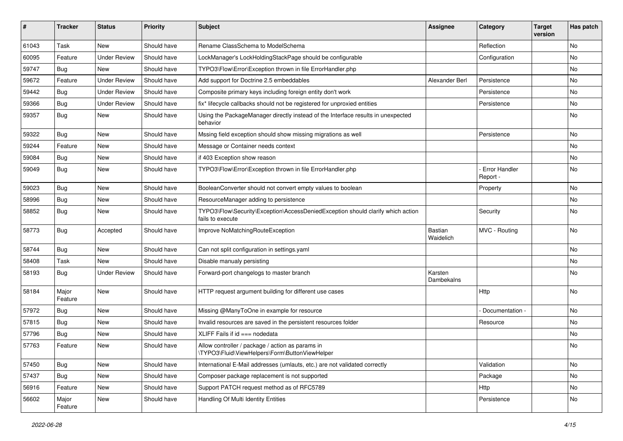| ∦     | <b>Tracker</b>   | <b>Status</b>       | <b>Priority</b> | <b>Subject</b>                                                                                      | <b>Assignee</b>       | Category                         | <b>Target</b><br>version | Has patch |
|-------|------------------|---------------------|-----------------|-----------------------------------------------------------------------------------------------------|-----------------------|----------------------------------|--------------------------|-----------|
| 61043 | Task             | New                 | Should have     | Rename ClassSchema to ModelSchema                                                                   |                       | Reflection                       |                          | No        |
| 60095 | Feature          | <b>Under Review</b> | Should have     | LockManager's LockHoldingStackPage should be configurable                                           |                       | Configuration                    |                          | No        |
| 59747 | Bug              | New                 | Should have     | TYPO3\Flow\Error\Exception thrown in file ErrorHandler.php                                          |                       |                                  |                          | No        |
| 59672 | Feature          | <b>Under Review</b> | Should have     | Add support for Doctrine 2.5 embeddables                                                            | Alexander Berl        | Persistence                      |                          | No        |
| 59442 | <b>Bug</b>       | <b>Under Review</b> | Should have     | Composite primary keys including foreign entity don't work                                          |                       | Persistence                      |                          | No        |
| 59366 | Bug              | <b>Under Review</b> | Should have     | fix* lifecycle callbacks should not be registered for unproxied entities                            |                       | Persistence                      |                          | No        |
| 59357 | Bug              | New                 | Should have     | Using the PackageManager directly instead of the Interface results in unexpected<br>behavior        |                       |                                  |                          | No        |
| 59322 | Bug              | New                 | Should have     | Mssing field exception should show missing migrations as well                                       |                       | Persistence                      |                          | No        |
| 59244 | Feature          | New                 | Should have     | Message or Container needs context                                                                  |                       |                                  |                          | No        |
| 59084 | Bug              | New                 | Should have     | if 403 Exception show reason                                                                        |                       |                                  |                          | No        |
| 59049 | Bug              | New                 | Should have     | TYPO3\Flow\Error\Exception thrown in file ErrorHandler.php                                          |                       | <b>Error Handler</b><br>Report - |                          | No        |
| 59023 | Bug              | New                 | Should have     | BooleanConverter should not convert empty values to boolean                                         |                       | Property                         |                          | <b>No</b> |
| 58996 | <b>Bug</b>       | New                 | Should have     | ResourceManager adding to persistence                                                               |                       |                                  |                          | No        |
| 58852 | <b>Bug</b>       | New                 | Should have     | TYPO3\Flow\Security\Exception\AccessDeniedException should clarify which action<br>fails to execute |                       | Security                         |                          | No        |
| 58773 | Bug              | Accepted            | Should have     | Improve NoMatchingRouteException                                                                    | Bastian<br>Waidelich  | MVC - Routing                    |                          | No        |
| 58744 | Bug              | <b>New</b>          | Should have     | Can not split configuration in settings.yaml                                                        |                       |                                  |                          | No        |
| 58408 | Task             | New                 | Should have     | Disable manualy persisting                                                                          |                       |                                  |                          | No        |
| 58193 | <b>Bug</b>       | <b>Under Review</b> | Should have     | Forward-port changelogs to master branch                                                            | Karsten<br>Dambekalns |                                  |                          | No        |
| 58184 | Major<br>Feature | New                 | Should have     | HTTP request argument building for different use cases                                              |                       | Http                             |                          | No        |
| 57972 | <b>Bug</b>       | New                 | Should have     | Missing @ManyToOne in example for resource                                                          |                       | Documentation -                  |                          | No        |
| 57815 | <b>Bug</b>       | New                 | Should have     | Invalid resources are saved in the persistent resources folder                                      |                       | Resource                         |                          | No        |
| 57796 | Bug              | New                 | Should have     | XLIFF Fails if $id ==$ nodedata                                                                     |                       |                                  |                          | No        |
| 57763 | Feature          | New                 | Should have     | Allow controller / package / action as params in<br>\TYPO3\Fluid\ViewHelpers\Form\ButtonViewHelper  |                       |                                  |                          | No        |
| 57450 | <b>Bug</b>       | New                 | Should have     | International E-Mail addresses (umlauts, etc.) are not validated correctly                          |                       | Validation                       |                          | No        |
| 57437 | Bug              | New                 | Should have     | Composer package replacement is not supported                                                       |                       | Package                          |                          | No        |
| 56916 | Feature          | New                 | Should have     | Support PATCH request method as of RFC5789                                                          |                       | Http                             |                          | No        |
| 56602 | Major<br>Feature | New                 | Should have     | Handling Of Multi Identity Entities                                                                 |                       | Persistence                      |                          | No        |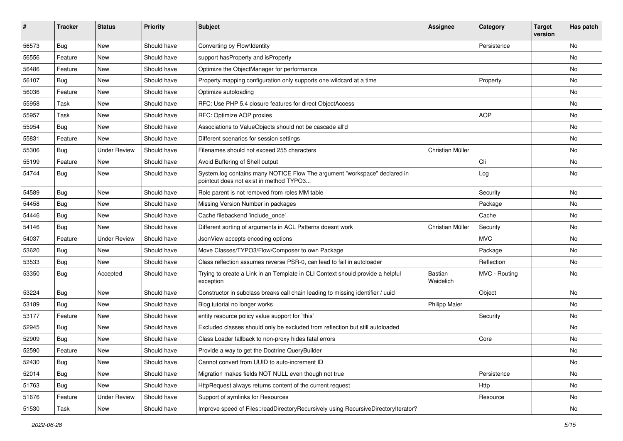| #     | <b>Tracker</b> | <b>Status</b>       | <b>Priority</b> | <b>Subject</b>                                                                                                       | <b>Assignee</b>             | Category      | <b>Target</b><br>version | Has patch |
|-------|----------------|---------------------|-----------------|----------------------------------------------------------------------------------------------------------------------|-----------------------------|---------------|--------------------------|-----------|
| 56573 | Bug            | <b>New</b>          | Should have     | Converting by Flow\Identity                                                                                          |                             | Persistence   |                          | No        |
| 56556 | Feature        | New                 | Should have     | support has Property and is Property                                                                                 |                             |               |                          | No        |
| 56486 | Feature        | New                 | Should have     | Optimize the ObjectManager for performance                                                                           |                             |               |                          | No        |
| 56107 | <b>Bug</b>     | New                 | Should have     | Property mapping configuration only supports one wildcard at a time                                                  |                             | Property      |                          | No        |
| 56036 | Feature        | New                 | Should have     | Optimize autoloading                                                                                                 |                             |               |                          | No        |
| 55958 | Task           | New                 | Should have     | RFC: Use PHP 5.4 closure features for direct ObjectAccess                                                            |                             |               |                          | No        |
| 55957 | Task           | New                 | Should have     | RFC: Optimize AOP proxies                                                                                            |                             | <b>AOP</b>    |                          | No        |
| 55954 | <b>Bug</b>     | New                 | Should have     | Associations to ValueObjects should not be cascade all'd                                                             |                             |               |                          | No        |
| 55831 | Feature        | <b>New</b>          | Should have     | Different scenarios for session settings                                                                             |                             |               |                          | No        |
| 55306 | Bug            | <b>Under Review</b> | Should have     | Filenames should not exceed 255 characters                                                                           | Christian Müller            |               |                          | No        |
| 55199 | Feature        | New                 | Should have     | Avoid Buffering of Shell output                                                                                      |                             | Cli           |                          | <b>No</b> |
| 54744 | <b>Bug</b>     | New                 | Should have     | System.log contains many NOTICE Flow The argument "workspace" declared in<br>pointcut does not exist in method TYPO3 |                             | Log           |                          | No        |
| 54589 | <b>Bug</b>     | <b>New</b>          | Should have     | Role parent is not removed from roles MM table                                                                       |                             | Security      |                          | No        |
| 54458 | <b>Bug</b>     | New                 | Should have     | Missing Version Number in packages                                                                                   |                             | Package       |                          | No        |
| 54446 | Bug            | New                 | Should have     | Cache filebackend 'include once'                                                                                     |                             | Cache         |                          | No        |
| 54146 | <b>Bug</b>     | <b>New</b>          | Should have     | Different sorting of arguments in ACL Patterns doesnt work                                                           | Christian Müller            | Security      |                          | No        |
| 54037 | Feature        | <b>Under Review</b> | Should have     | JsonView accepts encoding options                                                                                    |                             | <b>MVC</b>    |                          | No        |
| 53620 | <b>Bug</b>     | <b>New</b>          | Should have     | Move Classes/TYPO3/Flow/Composer to own Package                                                                      |                             | Package       |                          | <b>No</b> |
| 53533 | <b>Bug</b>     | New                 | Should have     | Class reflection assumes reverse PSR-0, can lead to fail in autoloader                                               |                             | Reflection    |                          | No        |
| 53350 | <b>Bug</b>     | Accepted            | Should have     | Trying to create a Link in an Template in CLI Context should provide a helpful<br>exception                          | <b>Bastian</b><br>Waidelich | MVC - Routing |                          | No        |
| 53224 | <b>Bug</b>     | New                 | Should have     | Constructor in subclass breaks call chain leading to missing identifier / uuid                                       |                             | Object        |                          | No        |
| 53189 | <b>Bug</b>     | New                 | Should have     | Blog tutorial no longer works                                                                                        | <b>Philipp Maier</b>        |               |                          | No        |
| 53177 | Feature        | New                 | Should have     | entity resource policy value support for `this`                                                                      |                             | Security      |                          | No        |
| 52945 | <b>Bug</b>     | New                 | Should have     | Excluded classes should only be excluded from reflection but still autoloaded                                        |                             |               |                          | No        |
| 52909 | <b>Bug</b>     | New                 | Should have     | Class Loader fallback to non-proxy hides fatal errors                                                                |                             | Core          |                          | No        |
| 52590 | Feature        | New                 | Should have     | Provide a way to get the Doctrine QueryBuilder                                                                       |                             |               |                          | No        |
| 52430 | Bug            | New                 | Should have     | Cannot convert from UUID to auto-increment ID                                                                        |                             |               |                          | No        |
| 52014 | Bug            | New                 | Should have     | Migration makes fields NOT NULL even though not true                                                                 |                             | Persistence   |                          | No        |
| 51763 | Bug            | New                 | Should have     | HttpRequest always returns content of the current request                                                            |                             | Http          |                          | No        |
| 51676 | Feature        | <b>Under Review</b> | Should have     | Support of symlinks for Resources                                                                                    |                             | Resource      |                          | No        |
| 51530 | Task           | New                 | Should have     | Improve speed of Files::readDirectoryRecursively using RecursiveDirectoryIterator?                                   |                             |               |                          | No        |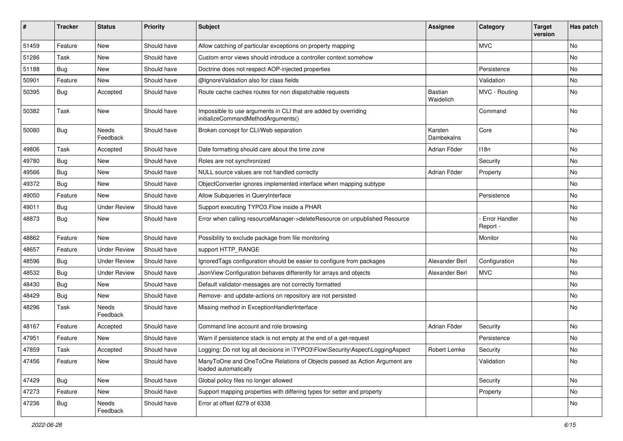| #     | <b>Tracker</b> | <b>Status</b>            | <b>Priority</b> | <b>Subject</b>                                                                                        | <b>Assignee</b>       | Category                  | <b>Target</b><br>version | Has patch |
|-------|----------------|--------------------------|-----------------|-------------------------------------------------------------------------------------------------------|-----------------------|---------------------------|--------------------------|-----------|
| 51459 | Feature        | New                      | Should have     | Allow catching of particular exceptions on property mapping                                           |                       | <b>MVC</b>                |                          | No        |
| 51286 | Task           | New                      | Should have     | Custom error views should introduce a controller context somehow                                      |                       |                           |                          | No        |
| 51188 | <b>Bug</b>     | New                      | Should have     | Doctrine does not respect AOP-injected properties                                                     |                       | Persistence               |                          | No        |
| 50901 | Feature        | New                      | Should have     | @IgnoreValidation also for class fields                                                               |                       | Validation                |                          | No        |
| 50395 | Bug            | Accepted                 | Should have     | Route cache caches routes for non dispatchable requests                                               | Bastian<br>Waidelich  | MVC - Routing             |                          | No        |
| 50382 | Task           | New                      | Should have     | Impossible to use arguments in CLI that are added by overriding<br>initializeCommandMethodArguments() |                       | Command                   |                          | No        |
| 50080 | <b>Bug</b>     | Needs<br>Feedback        | Should have     | Broken concept for CLI/Web separation                                                                 | Karsten<br>Dambekalns | Core                      |                          | No        |
| 49806 | Task           | Accepted                 | Should have     | Date formatting should care about the time zone                                                       | Adrian Föder          | 118n                      |                          | No        |
| 49780 | Bug            | New                      | Should have     | Roles are not synchronized                                                                            |                       | Security                  |                          | No        |
| 49566 | <b>Bug</b>     | New                      | Should have     | NULL source values are not handled correctly                                                          | Adrian Föder          | Property                  |                          | No        |
| 49372 | Bug            | New                      | Should have     | ObjectConverter ignores implemented interface when mapping subtype                                    |                       |                           |                          | No        |
| 49050 | Feature        | New                      | Should have     | Allow Subqueries in QueryInterface                                                                    |                       | Persistence               |                          | No        |
| 49011 | <b>Bug</b>     | <b>Under Review</b>      | Should have     | Support executing TYPO3.Flow inside a PHAR                                                            |                       |                           |                          | No        |
| 48873 | Bug            | New                      | Should have     | Error when calling resourceManager->deleteResource on unpublished Resource                            |                       | Error Handler<br>Report - |                          | No        |
| 48862 | Feature        | New                      | Should have     | Possibility to exclude package from file monitoring                                                   |                       | Monitor                   |                          | No        |
| 48657 | Feature        | <b>Under Review</b>      | Should have     | support HTTP_RANGE                                                                                    |                       |                           |                          | No        |
| 48596 | Bug            | <b>Under Review</b>      | Should have     | IgnoredTags configuration should be easier to configure from packages                                 | Alexander Berl        | Configuration             |                          | No        |
| 48532 | <b>Bug</b>     | <b>Under Review</b>      | Should have     | JsonView Configuration behaves differently for arrays and objects                                     | Alexander Berl        | <b>MVC</b>                |                          | <b>No</b> |
| 48430 | <b>Bug</b>     | New                      | Should have     | Default validator-messages are not correctly formatted                                                |                       |                           |                          | No        |
| 48429 | <b>Bug</b>     | New                      | Should have     | Remove- and update-actions on repository are not persisted                                            |                       |                           |                          | No        |
| 48296 | Task           | <b>Needs</b><br>Feedback | Should have     | Missing method in ExceptionHandlerInterface                                                           |                       |                           |                          | No        |
| 48167 | Feature        | Accepted                 | Should have     | Command line account and role browsing                                                                | Adrian Föder          | Security                  |                          | No        |
| 47951 | Feature        | <b>New</b>               | Should have     | Warn if persistence stack is not empty at the end of a get-request                                    |                       | Persistence               |                          | No        |
| 47859 | Task           | Accepted                 | Should have     | Logging: Do not log all decisions in \TYPO3\Flow\Security\Aspect\LoggingAspect                        | Robert Lemke          | Security                  |                          | No        |
| 47456 | Feature        | New                      | Should have     | ManyToOne and OneToOne Relations of Objects passed as Action Argument are<br>loaded automatically     |                       | Validation                |                          | No        |
| 47429 | Bug            | New                      | Should have     | Global policy files no longer allowed                                                                 |                       | Security                  |                          | No        |
| 47273 | Feature        | New                      | Should have     | Support mapping properties with differing types for setter and property                               |                       | Property                  |                          | No        |
| 47236 | <b>Bug</b>     | Needs<br>Feedback        | Should have     | Error at offset 6279 of 6338                                                                          |                       |                           |                          | No        |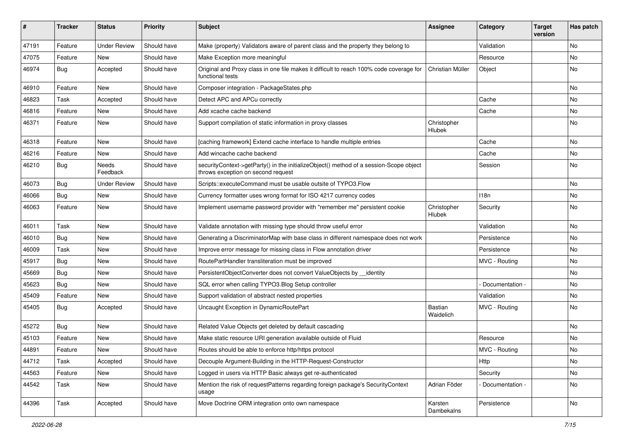| ∦     | <b>Tracker</b> | <b>Status</b>            | <b>Priority</b> | <b>Subject</b>                                                                                                               | <b>Assignee</b>             | Category        | <b>Target</b><br>version | Has patch |
|-------|----------------|--------------------------|-----------------|------------------------------------------------------------------------------------------------------------------------------|-----------------------------|-----------------|--------------------------|-----------|
| 47191 | Feature        | <b>Under Review</b>      | Should have     | Make (property) Validators aware of parent class and the property they belong to                                             |                             | Validation      |                          | No        |
| 47075 | Feature        | <b>New</b>               | Should have     | Make Exception more meaningful                                                                                               |                             | Resource        |                          | No        |
| 46974 | <b>Bug</b>     | Accepted                 | Should have     | Original and Proxy class in one file makes it difficult to reach 100% code coverage for<br>functional tests                  | Christian Müller            | Object          |                          | No        |
| 46910 | Feature        | <b>New</b>               | Should have     | Composer integration - PackageStates.php                                                                                     |                             |                 |                          | <b>No</b> |
| 46823 | Task           | Accepted                 | Should have     | Detect APC and APCu correctly                                                                                                |                             | Cache           |                          | No        |
| 46816 | Feature        | New                      | Should have     | Add xcache cache backend                                                                                                     |                             | Cache           |                          | No        |
| 46371 | Feature        | New                      | Should have     | Support compilation of static information in proxy classes                                                                   | Christopher<br>Hlubek       |                 |                          | <b>No</b> |
| 46318 | Feature        | <b>New</b>               | Should have     | [caching framework] Extend cache interface to handle multiple entries                                                        |                             | Cache           |                          | No        |
| 46216 | Feature        | New                      | Should have     | Add wincache cache backend                                                                                                   |                             | Cache           |                          | No        |
| 46210 | Bug            | <b>Needs</b><br>Feedback | Should have     | securityContext->getParty() in the initializeObject() method of a session-Scope object<br>throws exception on second request |                             | Session         |                          | No        |
| 46073 | <b>Bug</b>     | <b>Under Review</b>      | Should have     | Scripts::executeCommand must be usable outsite of TYPO3.Flow                                                                 |                             |                 |                          | <b>No</b> |
| 46066 | Bug            | New                      | Should have     | Currency formatter uses wrong format for ISO 4217 currency codes                                                             |                             | 118n            |                          | No        |
| 46063 | Feature        | New                      | Should have     | Implement username password provider with "remember me" persistent cookie                                                    | Christopher<br>Hlubek       | Security        |                          | <b>No</b> |
| 46011 | Task           | New                      | Should have     | Validate annotation with missing type should throw useful error                                                              |                             | Validation      |                          | No        |
| 46010 | <b>Bug</b>     | New                      | Should have     | Generating a DiscriminatorMap with base class in different namespace does not work                                           |                             | Persistence     |                          | No        |
| 46009 | Task           | New                      | Should have     | Improve error message for missing class in Flow annotation driver                                                            |                             | Persistence     |                          | No        |
| 45917 | Bug            | New                      | Should have     | RoutePartHandler transliteration must be improved                                                                            |                             | MVC - Routing   |                          | No        |
| 45669 | Bug            | New                      | Should have     | PersistentObjectConverter does not convert ValueObjects by identity                                                          |                             |                 |                          | <b>No</b> |
| 45623 | Bug            | New                      | Should have     | SQL error when calling TYPO3.Blog Setup controller                                                                           |                             | Documentation - |                          | No        |
| 45409 | Feature        | New                      | Should have     | Support validation of abstract nested properties                                                                             |                             | Validation      |                          | No        |
| 45405 | Bug            | Accepted                 | Should have     | Uncaught Exception in DynamicRoutePart                                                                                       | <b>Bastian</b><br>Waidelich | MVC - Routing   |                          | No        |
| 45272 | <b>Bug</b>     | New                      | Should have     | Related Value Objects get deleted by default cascading                                                                       |                             |                 |                          | No        |
| 45103 | Feature        | New                      | Should have     | Make static resource URI generation available outside of Fluid                                                               |                             | Resource        |                          | No        |
| 44891 | Feature        | New                      | Should have     | Routes should be able to enforce http/https protocol                                                                         |                             | MVC - Routing   |                          | No        |
| 44712 | Task           | Accepted                 | Should have     | Decouple Argument-Building in the HTTP-Request-Constructor                                                                   |                             | Http            |                          | No        |
| 44563 | Feature        | New                      | Should have     | Logged in users via HTTP Basic always get re-authenticated                                                                   |                             | Security        |                          | No        |
| 44542 | Task           | New                      | Should have     | Mention the risk of requestPatterns regarding foreign package's SecurityContext<br>usage                                     | Adrian Föder                | Documentation - |                          | No        |
| 44396 | Task           | Accepted                 | Should have     | Move Doctrine ORM integration onto own namespace                                                                             | Karsten<br>Dambekalns       | Persistence     |                          | No        |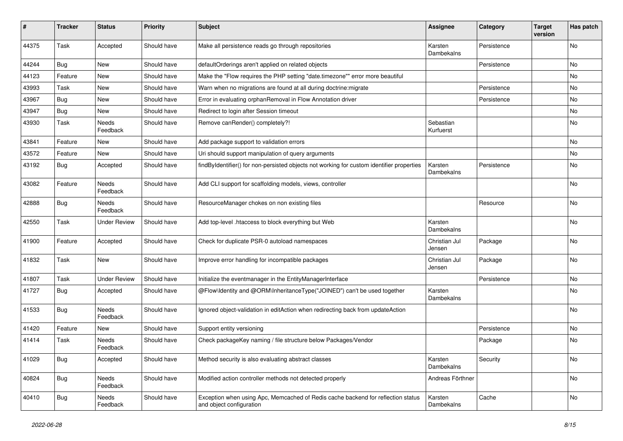| #     | <b>Tracker</b> | <b>Status</b>            | <b>Priority</b> | <b>Subject</b>                                                                                               | <b>Assignee</b>         | Category    | <b>Target</b><br>version | Has patch |
|-------|----------------|--------------------------|-----------------|--------------------------------------------------------------------------------------------------------------|-------------------------|-------------|--------------------------|-----------|
| 44375 | Task           | Accepted                 | Should have     | Make all persistence reads go through repositories                                                           | Karsten<br>Dambekalns   | Persistence |                          | No        |
| 44244 | <b>Bug</b>     | New                      | Should have     | defaultOrderings aren't applied on related objects                                                           |                         | Persistence |                          | No        |
| 44123 | Feature        | New                      | Should have     | Make the "Flow requires the PHP setting "date.timezone"" error more beautiful                                |                         |             |                          | No        |
| 43993 | Task           | New                      | Should have     | Warn when no migrations are found at all during doctrine: migrate                                            |                         | Persistence |                          | No        |
| 43967 | <b>Bug</b>     | New                      | Should have     | Error in evaluating orphanRemoval in Flow Annotation driver                                                  |                         | Persistence |                          | <b>No</b> |
| 43947 | Bug            | New                      | Should have     | Redirect to login after Session timeout                                                                      |                         |             |                          | No        |
| 43930 | Task           | Needs<br>Feedback        | Should have     | Remove canRender() completely?!                                                                              | Sebastian<br>Kurfuerst  |             |                          | No        |
| 43841 | Feature        | New                      | Should have     | Add package support to validation errors                                                                     |                         |             |                          | No        |
| 43572 | Feature        | New                      | Should have     | Uri should support manipulation of query arguments                                                           |                         |             |                          | No        |
| 43192 | <b>Bug</b>     | Accepted                 | Should have     | findByIdentifier() for non-persisted objects not working for custom identifier properties                    | Karsten<br>Dambekalns   | Persistence |                          | No        |
| 43082 | Feature        | <b>Needs</b><br>Feedback | Should have     | Add CLI support for scaffolding models, views, controller                                                    |                         |             |                          | No        |
| 42888 | Bug            | Needs<br>Feedback        | Should have     | ResourceManager chokes on non existing files                                                                 |                         | Resource    |                          | No        |
| 42550 | Task           | <b>Under Review</b>      | Should have     | Add top-level .htaccess to block everything but Web                                                          | Karsten<br>Dambekalns   |             |                          | No        |
| 41900 | Feature        | Accepted                 | Should have     | Check for duplicate PSR-0 autoload namespaces                                                                | Christian Jul<br>Jensen | Package     |                          | No        |
| 41832 | Task           | New                      | Should have     | Improve error handling for incompatible packages                                                             | Christian Jul<br>Jensen | Package     |                          | No        |
| 41807 | Task           | <b>Under Review</b>      | Should have     | Initialize the eventmanager in the EntityManagerInterface                                                    |                         | Persistence |                          | <b>No</b> |
| 41727 | <b>Bug</b>     | Accepted                 | Should have     | @Flow\Identity and @ORM\InheritanceType("JOINED") can't be used together                                     | Karsten<br>Dambekalns   |             |                          | No        |
| 41533 | <b>Bug</b>     | Needs<br>Feedback        | Should have     | Ignored object-validation in editAction when redirecting back from updateAction                              |                         |             |                          | No        |
| 41420 | Feature        | New                      | Should have     | Support entity versioning                                                                                    |                         | Persistence |                          | No        |
| 41414 | Task           | Needs<br>Feedback        | Should have     | Check packageKey naming / file structure below Packages/Vendor                                               |                         | Package     |                          | No        |
| 41029 | <b>Bug</b>     | Accepted                 | Should have     | Method security is also evaluating abstract classes                                                          | Karsten<br>Dambekalns   | Security    |                          | No        |
| 40824 | <b>Bug</b>     | Needs<br>Feedback        | Should have     | Modified action controller methods not detected properly                                                     | Andreas Förthner        |             |                          | No        |
| 40410 | <b>Bug</b>     | Needs<br>Feedback        | Should have     | Exception when using Apc, Memcached of Redis cache backend for reflection status<br>and object configuration | Karsten<br>Dambekalns   | Cache       |                          | No        |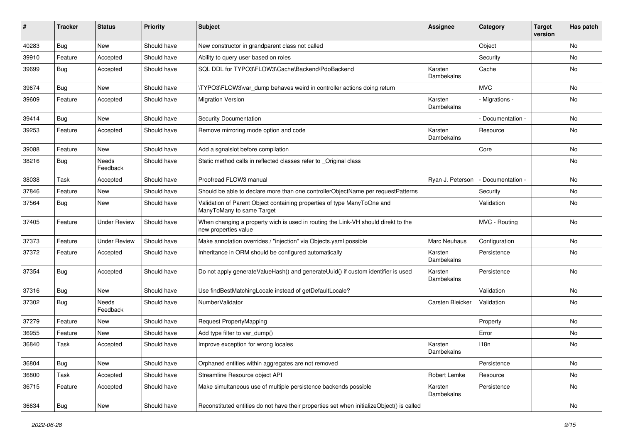| ∦     | <b>Tracker</b> | <b>Status</b>            | <b>Priority</b> | <b>Subject</b>                                                                                            | <b>Assignee</b>       | Category          | <b>Target</b><br>version | Has patch |
|-------|----------------|--------------------------|-----------------|-----------------------------------------------------------------------------------------------------------|-----------------------|-------------------|--------------------------|-----------|
| 40283 | <b>Bug</b>     | New                      | Should have     | New constructor in grandparent class not called                                                           |                       | Object            |                          | No        |
| 39910 | Feature        | Accepted                 | Should have     | Ability to query user based on roles                                                                      |                       | Security          |                          | No        |
| 39699 | Bug            | Accepted                 | Should have     | SQL DDL for TYPO3\FLOW3\Cache\Backend\PdoBackend                                                          | Karsten<br>Dambekalns | Cache             |                          | No        |
| 39674 | <b>Bug</b>     | New                      | Should have     | \TYPO3\FLOW3\var dump behaves weird in controller actions doing return                                    |                       | <b>MVC</b>        |                          | No        |
| 39609 | Feature        | Accepted                 | Should have     | <b>Migration Version</b>                                                                                  | Karsten<br>Dambekalns | Migrations -      |                          | <b>No</b> |
| 39414 | <b>Bug</b>     | New                      | Should have     | Security Documentation                                                                                    |                       | Documentation -   |                          | No        |
| 39253 | Feature        | Accepted                 | Should have     | Remove mirroring mode option and code                                                                     | Karsten<br>Dambekalns | Resource          |                          | No        |
| 39088 | Feature        | New                      | Should have     | Add a sgnalslot before compilation                                                                        |                       | Core              |                          | No        |
| 38216 | <b>Bug</b>     | <b>Needs</b><br>Feedback | Should have     | Static method calls in reflected classes refer to _Original class                                         |                       |                   |                          | No        |
| 38038 | Task           | Accepted                 | Should have     | Proofread FLOW3 manual                                                                                    | Ryan J. Peterson      | - Documentation - |                          | <b>No</b> |
| 37846 | Feature        | New                      | Should have     | Should be able to declare more than one controllerObjectName per requestPatterns                          |                       | Security          |                          | No        |
| 37564 | Bug            | New                      | Should have     | Validation of Parent Object containing properties of type ManyToOne and<br>ManyToMany to same Target      |                       | Validation        |                          | No        |
| 37405 | Feature        | <b>Under Review</b>      | Should have     | When changing a property wich is used in routing the Link-VH should direkt to the<br>new properties value |                       | MVC - Routing     |                          | <b>No</b> |
| 37373 | Feature        | <b>Under Review</b>      | Should have     | Make annotation overrides / "injection" via Objects.yaml possible                                         | Marc Neuhaus          | Configuration     |                          | No        |
| 37372 | Feature        | Accepted                 | Should have     | Inheritance in ORM should be configured automatically                                                     | Karsten<br>Dambekalns | Persistence       |                          | No        |
| 37354 | <b>Bug</b>     | Accepted                 | Should have     | Do not apply generateValueHash() and generateUuid() if custom identifier is used                          | Karsten<br>Dambekalns | Persistence       |                          | <b>No</b> |
| 37316 | <b>Bug</b>     | <b>New</b>               | Should have     | Use findBestMatchingLocale instead of getDefaultLocale?                                                   |                       | Validation        |                          | <b>No</b> |
| 37302 | <b>Bug</b>     | Needs<br>Feedback        | Should have     | NumberValidator                                                                                           | Carsten Bleicker      | Validation        |                          | No        |
| 37279 | Feature        | New                      | Should have     | Request PropertyMapping                                                                                   |                       | Property          |                          | No        |
| 36955 | Feature        | <b>New</b>               | Should have     | Add type filter to var_dump()                                                                             |                       | Error             |                          | No        |
| 36840 | Task           | Accepted                 | Should have     | Improve exception for wrong locales                                                                       | Karsten<br>Dambekalns | 118n              |                          | No        |
| 36804 | <b>Bug</b>     | New                      | Should have     | Orphaned entities within aggregates are not removed                                                       |                       | Persistence       |                          | No        |
| 36800 | Task           | Accepted                 | Should have     | Streamline Resource object API                                                                            | Robert Lemke          | Resource          |                          | No        |
| 36715 | Feature        | Accepted                 | Should have     | Make simultaneous use of multiple persistence backends possible                                           | Karsten<br>Dambekalns | Persistence       |                          | No        |
| 36634 | <b>Bug</b>     | New                      | Should have     | Reconstituted entities do not have their properties set when initializeObject() is called                 |                       |                   |                          | No        |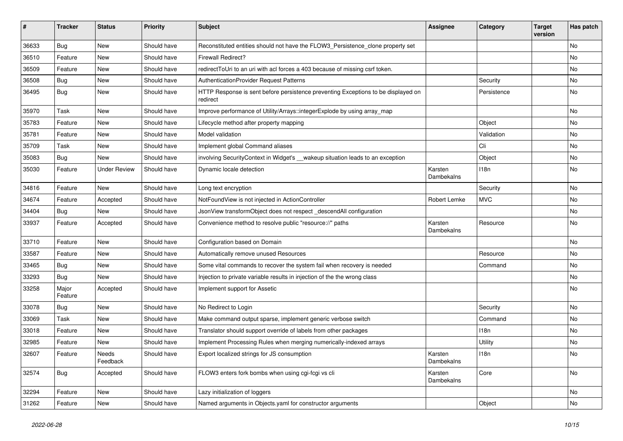| #     | <b>Tracker</b>   | <b>Status</b>       | <b>Priority</b> | <b>Subject</b>                                                                                | <b>Assignee</b>       | Category    | <b>Target</b><br>version | Has patch |
|-------|------------------|---------------------|-----------------|-----------------------------------------------------------------------------------------------|-----------------------|-------------|--------------------------|-----------|
| 36633 | <b>Bug</b>       | New                 | Should have     | Reconstituted entities should not have the FLOW3_Persistence_clone property set               |                       |             |                          | No        |
| 36510 | Feature          | New                 | Should have     | <b>Firewall Redirect?</b>                                                                     |                       |             |                          | No        |
| 36509 | Feature          | New                 | Should have     | redirect ToUri to an uri with acl forces a 403 because of missing csrf token.                 |                       |             |                          | No        |
| 36508 | <b>Bug</b>       | New                 | Should have     | AuthenticationProvider Request Patterns                                                       |                       | Security    |                          | No        |
| 36495 | <b>Bug</b>       | New                 | Should have     | HTTP Response is sent before persistence preventing Exceptions to be displayed on<br>redirect |                       | Persistence |                          | No        |
| 35970 | Task             | New                 | Should have     | Improve performance of Utility/Arrays::integerExplode by using array_map                      |                       |             |                          | No        |
| 35783 | Feature          | New                 | Should have     | Lifecycle method after property mapping                                                       |                       | Object      |                          | No        |
| 35781 | Feature          | New                 | Should have     | Model validation                                                                              |                       | Validation  |                          | No        |
| 35709 | Task             | New                 | Should have     | Implement global Command aliases                                                              |                       | Cli         |                          | No        |
| 35083 | <b>Bug</b>       | New                 | Should have     | involving SecurityContext in Widget's __wakeup situation leads to an exception                |                       | Object      |                          | No        |
| 35030 | Feature          | <b>Under Review</b> | Should have     | Dynamic locale detection                                                                      | Karsten<br>Dambekalns | 118n        |                          | No        |
| 34816 | Feature          | New                 | Should have     | Long text encryption                                                                          |                       | Security    |                          | <b>No</b> |
| 34674 | Feature          | Accepted            | Should have     | NotFoundView is not injected in ActionController                                              | Robert Lemke          | <b>MVC</b>  |                          | No        |
| 34404 | <b>Bug</b>       | New                 | Should have     | JsonView transformObject does not respect_descendAll configuration                            |                       |             |                          | No        |
| 33937 | Feature          | Accepted            | Should have     | Convenience method to resolve public "resource://" paths                                      | Karsten<br>Dambekalns | Resource    |                          | No        |
| 33710 | Feature          | New                 | Should have     | Configuration based on Domain                                                                 |                       |             |                          | No        |
| 33587 | Feature          | New                 | Should have     | Automatically remove unused Resources                                                         |                       | Resource    |                          | No        |
| 33465 | <b>Bug</b>       | New                 | Should have     | Some vital commands to recover the system fail when recovery is needed                        |                       | Command     |                          | No        |
| 33293 | <b>Bug</b>       | New                 | Should have     | Injection to private variable results in injection of the the wrong class                     |                       |             |                          | No        |
| 33258 | Major<br>Feature | Accepted            | Should have     | Implement support for Assetic                                                                 |                       |             |                          | No        |
| 33078 | <b>Bug</b>       | New                 | Should have     | No Redirect to Login                                                                          |                       | Security    |                          | No        |
| 33069 | Task             | New                 | Should have     | Make command output sparse, implement generic verbose switch                                  |                       | Command     |                          | No        |
| 33018 | Feature          | New                 | Should have     | Translator should support override of labels from other packages                              |                       | 118n        |                          | No        |
| 32985 | Feature          | New                 | Should have     | Implement Processing Rules when merging numerically-indexed arrays                            |                       | Utility     |                          | No        |
| 32607 | Feature          | Needs<br>Feedback   | Should have     | Export localized strings for JS consumption                                                   | Karsten<br>Dambekalns | 118n        |                          | N0        |
| 32574 | Bug              | Accepted            | Should have     | FLOW3 enters fork bombs when using cgi-fcgi vs cli                                            | Karsten<br>Dambekalns | Core        |                          | No        |
| 32294 | Feature          | New                 | Should have     | Lazy initialization of loggers                                                                |                       |             |                          | No        |
| 31262 | Feature          | New                 | Should have     | Named arguments in Objects.yaml for constructor arguments                                     |                       | Object      |                          | No        |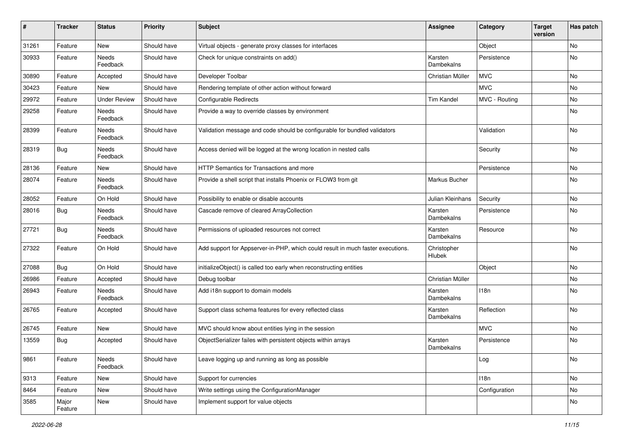| ∦     | <b>Tracker</b>   | <b>Status</b>            | <b>Priority</b> | <b>Subject</b>                                                                  | Assignee              | Category      | <b>Target</b><br>version | Has patch |
|-------|------------------|--------------------------|-----------------|---------------------------------------------------------------------------------|-----------------------|---------------|--------------------------|-----------|
| 31261 | Feature          | New                      | Should have     | Virtual objects - generate proxy classes for interfaces                         |                       | Object        |                          | No        |
| 30933 | Feature          | Needs<br>Feedback        | Should have     | Check for unique constraints on add()                                           | Karsten<br>Dambekalns | Persistence   |                          | No        |
| 30890 | Feature          | Accepted                 | Should have     | Developer Toolbar                                                               | Christian Müller      | <b>MVC</b>    |                          | <b>No</b> |
| 30423 | Feature          | New                      | Should have     | Rendering template of other action without forward                              |                       | <b>MVC</b>    |                          | No        |
| 29972 | Feature          | <b>Under Review</b>      | Should have     | <b>Configurable Redirects</b>                                                   | Tim Kandel            | MVC - Routing |                          | <b>No</b> |
| 29258 | Feature          | Needs<br>Feedback        | Should have     | Provide a way to override classes by environment                                |                       |               |                          | No        |
| 28399 | Feature          | Needs<br>Feedback        | Should have     | Validation message and code should be configurable for bundled validators       |                       | Validation    |                          | No        |
| 28319 | <b>Bug</b>       | Needs<br>Feedback        | Should have     | Access denied will be logged at the wrong location in nested calls              |                       | Security      |                          | No        |
| 28136 | Feature          | New                      | Should have     | <b>HTTP Semantics for Transactions and more</b>                                 |                       | Persistence   |                          | <b>No</b> |
| 28074 | Feature          | <b>Needs</b><br>Feedback | Should have     | Provide a shell script that installs Phoenix or FLOW3 from git                  | Markus Bucher         |               |                          | No        |
| 28052 | Feature          | On Hold                  | Should have     | Possibility to enable or disable accounts                                       | Julian Kleinhans      | Security      |                          | No        |
| 28016 | <b>Bug</b>       | <b>Needs</b><br>Feedback | Should have     | Cascade remove of cleared ArrayCollection                                       | Karsten<br>Dambekalns | Persistence   |                          | No        |
| 27721 | Bug              | Needs<br>Feedback        | Should have     | Permissions of uploaded resources not correct                                   | Karsten<br>Dambekalns | Resource      |                          | <b>No</b> |
| 27322 | Feature          | On Hold                  | Should have     | Add support for Appserver-in-PHP, which could result in much faster executions. | Christopher<br>Hlubek |               |                          | <b>No</b> |
| 27088 | <b>Bug</b>       | On Hold                  | Should have     | initializeObject() is called too early when reconstructing entities             |                       | Object        |                          | <b>No</b> |
| 26986 | Feature          | Accepted                 | Should have     | Debug toolbar                                                                   | Christian Müller      |               |                          | No        |
| 26943 | Feature          | <b>Needs</b><br>Feedback | Should have     | Add i18n support to domain models                                               | Karsten<br>Dambekalns | 118n          |                          | No        |
| 26765 | Feature          | Accepted                 | Should have     | Support class schema features for every reflected class                         | Karsten<br>Dambekalns | Reflection    |                          | <b>No</b> |
| 26745 | Feature          | New                      | Should have     | MVC should know about entities lying in the session                             |                       | <b>MVC</b>    |                          | No        |
| 13559 | <b>Bug</b>       | Accepted                 | Should have     | ObjectSerializer failes with persistent objects within arrays                   | Karsten<br>Dambekalns | Persistence   |                          | No        |
| 9861  | Feature          | Needs<br>Feedback        | Should have     | Leave logging up and running as long as possible                                |                       | Log           |                          | <b>No</b> |
| 9313  | Feature          | New                      | Should have     | Support for currencies                                                          |                       | 118n          |                          | No        |
| 8464  | Feature          | New                      | Should have     | Write settings using the ConfigurationManager                                   |                       | Configuration |                          | No        |
| 3585  | Major<br>Feature | New                      | Should have     | Implement support for value objects                                             |                       |               |                          | No        |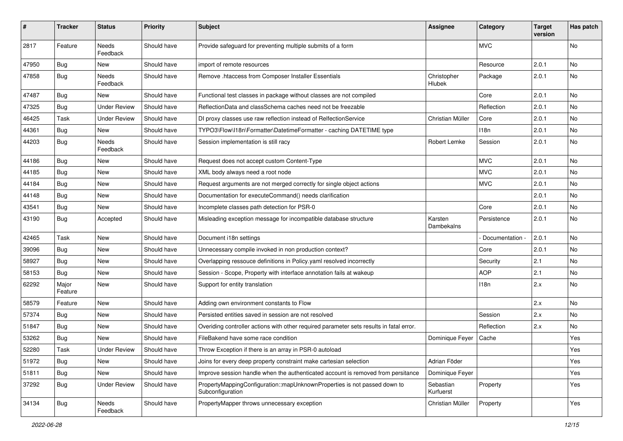| $\sharp$ | Tracker          | <b>Status</b>       | <b>Priority</b> | <b>Subject</b>                                                                               | <b>Assignee</b>        | Category        | <b>Target</b><br>version | Has patch |
|----------|------------------|---------------------|-----------------|----------------------------------------------------------------------------------------------|------------------------|-----------------|--------------------------|-----------|
| 2817     | Feature          | Needs<br>Feedback   | Should have     | Provide safeguard for preventing multiple submits of a form                                  |                        | <b>MVC</b>      |                          | No        |
| 47950    | Bug              | New                 | Should have     | import of remote resources                                                                   |                        | Resource        | 2.0.1                    | No        |
| 47858    | <b>Bug</b>       | Needs<br>Feedback   | Should have     | Remove .htaccess from Composer Installer Essentials                                          | Christopher<br>Hlubek  | Package         | 2.0.1                    | No        |
| 47487    | <b>Bug</b>       | New                 | Should have     | Functional test classes in package without classes are not compiled                          |                        | Core            | 2.0.1                    | <b>No</b> |
| 47325    | <b>Bug</b>       | <b>Under Review</b> | Should have     | ReflectionData and classSchema caches need not be freezable                                  |                        | Reflection      | 2.0.1                    | No        |
| 46425    | Task             | <b>Under Review</b> | Should have     | DI proxy classes use raw reflection instead of RelfectionService                             | Christian Müller       | Core            | 2.0.1                    | No        |
| 44361    | <b>Bug</b>       | New                 | Should have     | TYPO3\Flow\I18n\Formatter\DatetimeFormatter - caching DATETIME type                          |                        | 118n            | 2.0.1                    | No        |
| 44203    | <b>Bug</b>       | Needs<br>Feedback   | Should have     | Session implementation is still racy                                                         | Robert Lemke           | Session         | 2.0.1                    | No        |
| 44186    | Bug              | New                 | Should have     | Request does not accept custom Content-Type                                                  |                        | <b>MVC</b>      | 2.0.1                    | No        |
| 44185    | <b>Bug</b>       | New                 | Should have     | XML body always need a root node                                                             |                        | <b>MVC</b>      | 2.0.1                    | No        |
| 44184    | <b>Bug</b>       | New                 | Should have     | Request arguments are not merged correctly for single object actions                         |                        | <b>MVC</b>      | 2.0.1                    | <b>No</b> |
| 44148    | <b>Bug</b>       | New                 | Should have     | Documentation for executeCommand() needs clarification                                       |                        |                 | 2.0.1                    | No        |
| 43541    | Bug              | New                 | Should have     | Incomplete classes path detection for PSR-0                                                  |                        | Core            | 2.0.1                    | No        |
| 43190    | <b>Bug</b>       | Accepted            | Should have     | Misleading exception message for incompatible database structure                             | Karsten<br>Dambekalns  | Persistence     | 2.0.1                    | No        |
| 42465    | Task             | New                 | Should have     | Document i18n settings                                                                       |                        | Documentation - | 2.0.1                    | <b>No</b> |
| 39096    | <b>Bug</b>       | New                 | Should have     | Unnecessary compile invoked in non production context?                                       |                        | Core            | 2.0.1                    | No        |
| 58927    | Bug              | New                 | Should have     | Overlapping ressouce definitions in Policy yaml resolved incorrectly                         |                        | Security        | 2.1                      | No        |
| 58153    | <b>Bug</b>       | New                 | Should have     | Session - Scope, Property with interface annotation fails at wakeup                          |                        | <b>AOP</b>      | 2.1                      | No        |
| 62292    | Major<br>Feature | New                 | Should have     | Support for entity translation                                                               |                        | 118n            | 2.x                      | No        |
| 58579    | Feature          | New                 | Should have     | Adding own environment constants to Flow                                                     |                        |                 | 2.x                      | No        |
| 57374    | Bug              | New                 | Should have     | Persisted entities saved in session are not resolved                                         |                        | Session         | 2.x                      | No        |
| 51847    | <b>Bug</b>       | New                 | Should have     | Overiding controller actions with other required parameter sets results in fatal error.      |                        | Reflection      | 2.x                      | No        |
| 53262    | Bug              | New                 | Should have     | FileBakend have some race condition                                                          | Dominique Feyer        | Cache           |                          | Yes       |
| 52280    | Task             | <b>Under Review</b> | Should have     | Throw Exception if there is an array in PSR-0 autoload                                       |                        |                 |                          | Yes       |
| 51972    | Bug              | New                 | Should have     | Joins for every deep property constraint make cartesian selection                            | Adrian Föder           |                 |                          | Yes       |
| 51811    | <b>Bug</b>       | New                 | Should have     | Improve session handle when the authenticated account is removed from persitance             | Dominique Feyer        |                 |                          | Yes       |
| 37292    | <b>Bug</b>       | <b>Under Review</b> | Should have     | PropertyMappingConfiguration::mapUnknownProperties is not passed down to<br>Subconfiguration | Sebastian<br>Kurfuerst | Property        |                          | Yes       |
| 34134    | <b>Bug</b>       | Needs<br>Feedback   | Should have     | PropertyMapper throws unnecessary exception                                                  | Christian Müller       | Property        |                          | Yes       |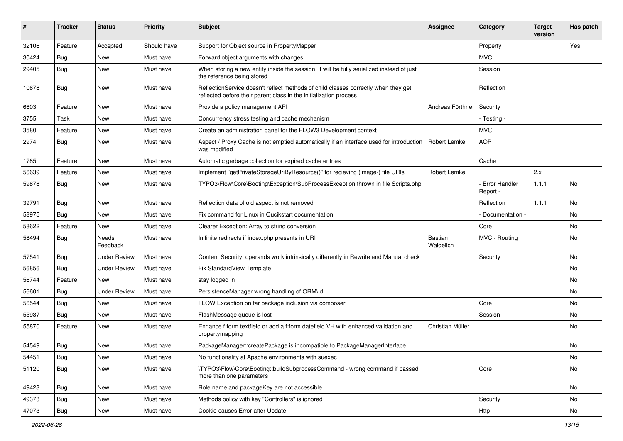| ∦     | <b>Tracker</b> | <b>Status</b>            | <b>Priority</b> | <b>Subject</b>                                                                                                                                          | Assignee             | Category                    | <b>Target</b><br>version | Has patch |
|-------|----------------|--------------------------|-----------------|---------------------------------------------------------------------------------------------------------------------------------------------------------|----------------------|-----------------------------|--------------------------|-----------|
| 32106 | Feature        | Accepted                 | Should have     | Support for Object source in PropertyMapper                                                                                                             |                      | Property                    |                          | Yes       |
| 30424 | <b>Bug</b>     | <b>New</b>               | Must have       | Forward object arguments with changes                                                                                                                   |                      | <b>MVC</b>                  |                          |           |
| 29405 | <b>Bug</b>     | <b>New</b>               | Must have       | When storing a new entity inside the session, it will be fully serialized instead of just<br>the reference being stored                                 |                      | Session                     |                          |           |
| 10678 | Bug            | <b>New</b>               | Must have       | ReflectionService doesn't reflect methods of child classes correctly when they get<br>reflected before their parent class in the initialization process |                      | Reflection                  |                          |           |
| 6603  | Feature        | <b>New</b>               | Must have       | Provide a policy management API                                                                                                                         | Andreas Förthner     | Security                    |                          |           |
| 3755  | Task           | <b>New</b>               | Must have       | Concurrency stress testing and cache mechanism                                                                                                          |                      | - Testing -                 |                          |           |
| 3580  | Feature        | <b>New</b>               | Must have       | Create an administration panel for the FLOW3 Development context                                                                                        |                      | <b>MVC</b>                  |                          |           |
| 2974  | Bug            | <b>New</b>               | Must have       | Aspect / Proxy Cache is not emptied automatically if an interface used for introduction<br>was modified                                                 | Robert Lemke         | <b>AOP</b>                  |                          |           |
| 1785  | Feature        | <b>New</b>               | Must have       | Automatic garbage collection for expired cache entries                                                                                                  |                      | Cache                       |                          |           |
| 56639 | Feature        | <b>New</b>               | Must have       | Implement "getPrivateStorageUriByResource()" for recieving (image-) file URIs                                                                           | Robert Lemke         |                             | 2.x                      |           |
| 59878 | <b>Bug</b>     | New                      | Must have       | TYPO3\Flow\Core\Booting\Exception\SubProcessException thrown in file Scripts.php                                                                        |                      | - Error Handler<br>Report - | 1.1.1                    | No.       |
| 39791 | Bug            | <b>New</b>               | Must have       | Reflection data of old aspect is not removed                                                                                                            |                      | Reflection                  | 1.1.1                    | No.       |
| 58975 | Bug            | <b>New</b>               | Must have       | Fix command for Linux in Qucikstart documentation                                                                                                       |                      | Documentation -             |                          | No.       |
| 58622 | Feature        | New                      | Must have       | Clearer Exception: Array to string conversion                                                                                                           |                      | Core                        |                          | No        |
| 58494 | <b>Bug</b>     | <b>Needs</b><br>Feedback | Must have       | Inifinite redirects if index.php presents in URI                                                                                                        | Bastian<br>Waidelich | MVC - Routing               |                          | No        |
| 57541 | <b>Bug</b>     | <b>Under Review</b>      | Must have       | Content Security: operands work intrinsically differently in Rewrite and Manual check                                                                   |                      | Security                    |                          | No.       |
| 56856 | <b>Bug</b>     | <b>Under Review</b>      | Must have       | Fix StandardView Template                                                                                                                               |                      |                             |                          | No.       |
| 56744 | Feature        | <b>New</b>               | Must have       | stay logged in                                                                                                                                          |                      |                             |                          | No        |
| 56601 | Bug            | <b>Under Review</b>      | Must have       | PersistenceManager wrong handling of ORM\ld                                                                                                             |                      |                             |                          | No        |
| 56544 | Bug            | <b>New</b>               | Must have       | FLOW Exception on tar package inclusion via composer                                                                                                    |                      | Core                        |                          | No        |
| 55937 | <b>Bug</b>     | <b>New</b>               | Must have       | FlashMessage queue is lost                                                                                                                              |                      | Session                     |                          | No.       |
| 55870 | Feature        | New                      | Must have       | Enhance f:form.textfield or add a f:form.datefield VH with enhanced validation and<br>propertymapping                                                   | Christian Müller     |                             |                          | No        |
| 54549 | Bug            | <b>New</b>               | Must have       | PackageManager::createPackage is incompatible to PackageManagerInterface                                                                                |                      |                             |                          | No        |
| 54451 | Bug            | New                      | Must have       | No functionality at Apache environments with suexec                                                                                                     |                      |                             |                          | No        |
| 51120 | Bug            | New                      | Must have       | \TYPO3\Flow\Core\Booting::buildSubprocessCommand - wrong command if passed<br>more than one parameters                                                  |                      | Core                        |                          | No        |
| 49423 | <b>Bug</b>     | New                      | Must have       | Role name and packageKey are not accessible                                                                                                             |                      |                             |                          | No        |
| 49373 | <b>Bug</b>     | New                      | Must have       | Methods policy with key "Controllers" is ignored                                                                                                        |                      | Security                    |                          | No        |
| 47073 | Bug            | New                      | Must have       | Cookie causes Error after Update                                                                                                                        |                      | Http                        |                          | No        |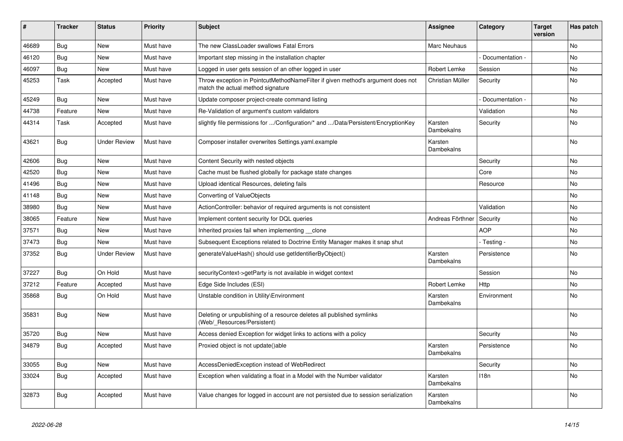| ∦     | <b>Tracker</b> | <b>Status</b>       | <b>Priority</b> | <b>Subject</b>                                                                                                       | <b>Assignee</b>       | Category        | <b>Target</b><br>version | Has patch |
|-------|----------------|---------------------|-----------------|----------------------------------------------------------------------------------------------------------------------|-----------------------|-----------------|--------------------------|-----------|
| 46689 | Bug            | <b>New</b>          | Must have       | The new ClassLoader swallows Fatal Errors                                                                            | Marc Neuhaus          |                 |                          | <b>No</b> |
| 46120 | Bug            | <b>New</b>          | Must have       | Important step missing in the installation chapter                                                                   |                       | Documentation - |                          | No        |
| 46097 | <b>Bug</b>     | New                 | Must have       | Logged in user gets session of an other logged in user                                                               | Robert Lemke          | Session         |                          | No        |
| 45253 | Task           | Accepted            | Must have       | Throw exception in PointcutMethodNameFilter if given method's argument does not<br>match the actual method signature | Christian Müller      | Security        |                          | No        |
| 45249 | <b>Bug</b>     | <b>New</b>          | Must have       | Update composer project-create command listing                                                                       |                       | Documentation - |                          | No        |
| 44738 | Feature        | <b>New</b>          | Must have       | Re-Validation of argument's custom validators                                                                        |                       | Validation      |                          | No        |
| 44314 | Task           | Accepted            | Must have       | slightly file permissions for /Configuration/* and /Data/Persistent/EncryptionKey                                    | Karsten<br>Dambekalns | Security        |                          | <b>No</b> |
| 43621 | Bug            | <b>Under Review</b> | Must have       | Composer installer overwrites Settings.yaml.example                                                                  | Karsten<br>Dambekalns |                 |                          | No        |
| 42606 | <b>Bug</b>     | <b>New</b>          | Must have       | Content Security with nested objects                                                                                 |                       | Security        |                          | No        |
| 42520 | Bug            | New                 | Must have       | Cache must be flushed globally for package state changes                                                             |                       | Core            |                          | No        |
| 41496 | Bug            | New                 | Must have       | Upload identical Resources, deleting fails                                                                           |                       | Resource        |                          | No        |
| 41148 | Bug            | New                 | Must have       | Converting of ValueObjects                                                                                           |                       |                 |                          | <b>No</b> |
| 38980 | Bug            | New                 | Must have       | ActionController: behavior of required arguments is not consistent                                                   |                       | Validation      |                          | <b>No</b> |
| 38065 | Feature        | New                 | Must have       | Implement content security for DQL queries                                                                           | Andreas Förthner      | Security        |                          | No        |
| 37571 | Bug            | <b>New</b>          | Must have       | Inherited proxies fail when implementing clone                                                                       |                       | <b>AOP</b>      |                          | No        |
| 37473 | <b>Bug</b>     | New                 | Must have       | Subsequent Exceptions related to Doctrine Entity Manager makes it snap shut                                          |                       | - Testing -     |                          | <b>No</b> |
| 37352 | <b>Bug</b>     | <b>Under Review</b> | Must have       | generateValueHash() should use getIdentifierByObject()                                                               | Karsten<br>Dambekalns | Persistence     |                          | No        |
| 37227 | Bug            | On Hold             | Must have       | securityContext->getParty is not available in widget context                                                         |                       | Session         |                          | No        |
| 37212 | Feature        | Accepted            | Must have       | Edge Side Includes (ESI)                                                                                             | Robert Lemke          | Http            |                          | No        |
| 35868 | <b>Bug</b>     | On Hold             | Must have       | Unstable condition in Utility\Environment                                                                            | Karsten<br>Dambekalns | Environment     |                          | No        |
| 35831 | Bug            | New                 | Must have       | Deleting or unpublishing of a resource deletes all published symlinks<br>(Web/ Resources/Persistent)                 |                       |                 |                          | No        |
| 35720 | <b>Bug</b>     | <b>New</b>          | Must have       | Access denied Exception for widget links to actions with a policy                                                    |                       | Security        |                          | <b>No</b> |
| 34879 | Bug            | Accepted            | Must have       | Proxied object is not update()able                                                                                   | Karsten<br>Dambekalns | Persistence     |                          | <b>No</b> |
| 33055 | Bug            | New                 | Must have       | AccessDeniedException instead of WebRedirect                                                                         |                       | Security        |                          | No        |
| 33024 | <b>Bug</b>     | Accepted            | Must have       | Exception when validating a float in a Model with the Number validator                                               | Karsten<br>Dambekalns | 118n            |                          | No        |
| 32873 | Bug            | Accepted            | Must have       | Value changes for logged in account are not persisted due to session serialization                                   | Karsten<br>Dambekalns |                 |                          | <b>No</b> |